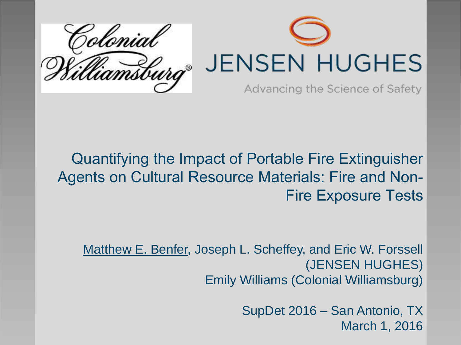

#### Quantifying the Impact of Portable Fire Extinguisher Agents on Cultural Resource Materials: Fire and Non-Fire Exposure Tests

Matthew E. Benfer, Joseph L. Scheffey, and Eric W. Forssell (JENSEN HUGHES) Emily Williams (Colonial Williamsburg)

> SupDet 2016 – San Antonio, TX March 1, 2016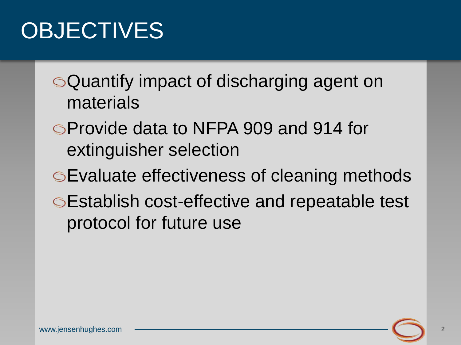### **OBJECTIVES**

Quantify impact of discharging agent on materials

- Provide data to NFPA 909 and 914 for extinguisher selection
- Evaluate effectiveness of cleaning methods Establish cost-effective and repeatable test protocol for future use

2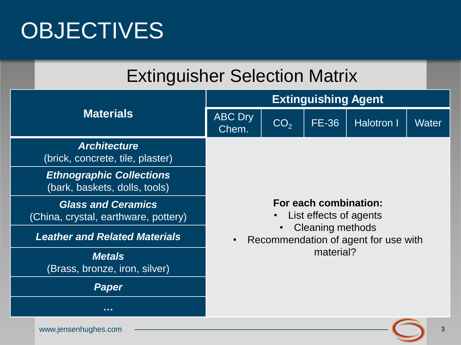### **OBJECTIVES**

|                  | <b>Extinguisher Selection Matrix</b>                              |                                                                                                                                 |                 |              |                   |              |  |
|------------------|-------------------------------------------------------------------|---------------------------------------------------------------------------------------------------------------------------------|-----------------|--------------|-------------------|--------------|--|
|                  |                                                                   | <b>Extinguishing Agent</b>                                                                                                      |                 |              |                   |              |  |
| <b>Materials</b> |                                                                   | <b>ABC</b> Dry<br>Chem.                                                                                                         | CO <sub>2</sub> | <b>FE-36</b> | <b>Halotron I</b> | <b>Water</b> |  |
|                  | <b>Architecture</b><br>(brick, concrete, tile, plaster)           |                                                                                                                                 |                 |              |                   |              |  |
|                  | <b>Ethnographic Collections</b><br>(bark, baskets, dolls, tools)  |                                                                                                                                 |                 |              |                   |              |  |
|                  | <b>Glass and Ceramics</b><br>(China, crystal, earthware, pottery) | For each combination:<br>List effects of agents<br><b>Cleaning methods</b><br>Recommendation of agent for use with<br>material? |                 |              |                   |              |  |
|                  | <b>Leather and Related Materials</b>                              |                                                                                                                                 |                 |              |                   |              |  |
|                  | <b>Metals</b><br>(Brass, bronze, iron, silver)                    |                                                                                                                                 |                 |              |                   |              |  |
|                  | Paper                                                             |                                                                                                                                 |                 |              |                   |              |  |
|                  |                                                                   |                                                                                                                                 |                 |              |                   |              |  |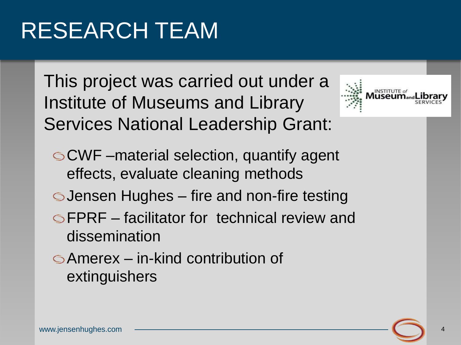### RESEARCH TEAM

This project was carried out under a Institute of Museums and Library Services National Leadership Grant:



CWF –material selection, quantify agent effects, evaluate cleaning methods

- Jensen Hughes fire and non-fire testing
- FPRF facilitator for technical review and dissemination
- Amerex in-kind contribution of extinguishers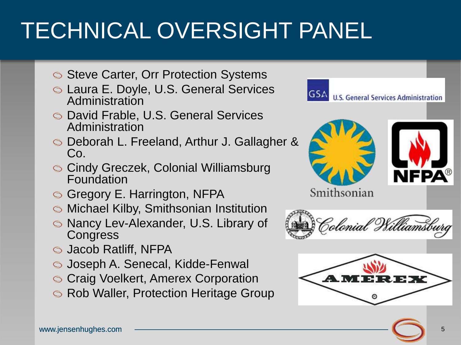## TECHNICAL OVERSIGHT PANEL

- Steve Carter, Orr Protection Systems
- Laura E. Doyle, U.S. General Services Administration
- David Frable, U.S. General Services Administration
- Deborah L. Freeland, Arthur J. Gallagher & Co.
- Cindy Greczek, Colonial Williamsburg Foundation
- G Gregory E. Harrington, NFPA
- Michael Kilby, Smithsonian Institution
- Nancy Lev-Alexander, U.S. Library of **Congress**
- Jacob Ratliff, NFPA
- Joseph A. Senecal, Kidde-Fenwal
- **S Craig Voelkert, Amerex Corporation**
- **S** Rob Waller, Protection Heritage Group



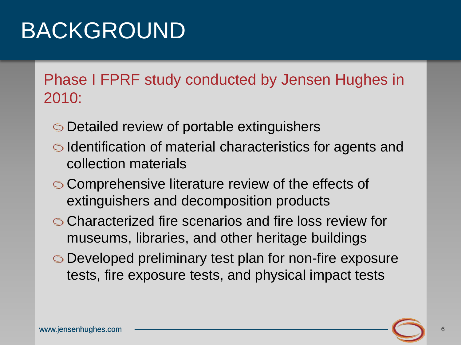### BACKGROUND

Phase I FPRF study conducted by Jensen Hughes in 2010:

- Detailed review of portable extinguishers
- Identification of material characteristics for agents and collection materials
- **Comprehensive literature review of the effects of** extinguishers and decomposition products
- Characterized fire scenarios and fire loss review for museums, libraries, and other heritage buildings
- Developed preliminary test plan for non-fire exposure tests, fire exposure tests, and physical impact tests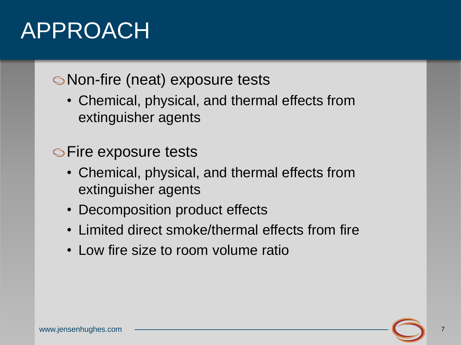### APPROACH

#### Non-fire (neat) exposure tests

• Chemical, physical, and thermal effects from extinguisher agents

#### **Set Fire exposure tests**

- Chemical, physical, and thermal effects from extinguisher agents
- Decomposition product effects
- Limited direct smoke/thermal effects from fire
- Low fire size to room volume ratio

7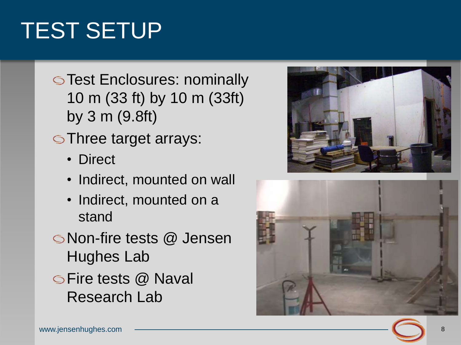## TEST SETUP

- **Set Enclosures: nominally** 10 m (33 ft) by 10 m (33ft) by 3 m (9.8ft)
- Three target arrays:
	- Direct
	- Indirect, mounted on wall
	- Indirect, mounted on a stand
- Non -fire tests @ Jensen Hughes Lab
- **SFire tests @ Naval** Research Lab



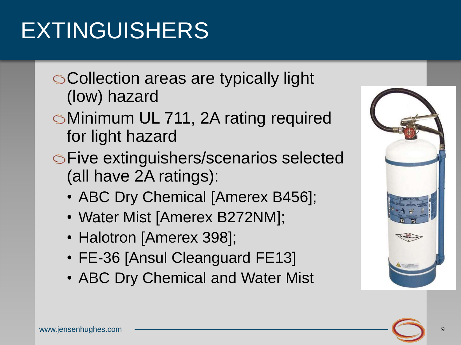## EXTINGUISHERS

- Collection areas are typically light (low) hazard
- Minimum UL 711, 2A rating required for light hazard
- Five extinguishers/scenarios selected (all have 2A ratings):
	- ABC Dry Chemical [Amerex B456];
	- Water Mist [Amerex B272NM];
	- Halotron [Amerex 398];
	- FE-36 [Ansul Cleanguard FE13]
	- ABC Dry Chemical and Water Mist

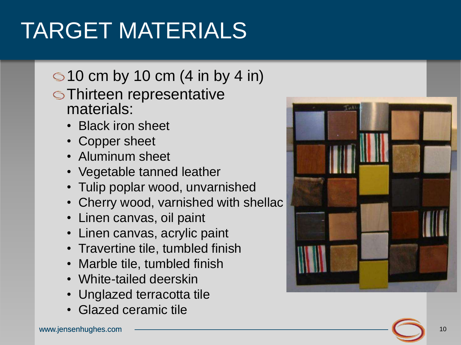## TARGET MATERIALS

### $\bigcirc$  10 cm by 10 cm (4 in by 4 in)

- Thirteen representative materials:
	-
	-
	-
	- Black iron sheet<br>• Copper sheet<br>• Aluminum sheet<br>• Vegetable tanned leather
	- Tulip poplar wood, unvarnished
	- Cherry wood, varnished with shellac Linen canvas, oil paint
	-
	- Linen canvas, acrylic paint
	- Travertine tile, tumbled finish
	-
	-
	- Marble tile, tumbled finish<br>• White-tailed deerskin<br>• Unglazed terracotta tile<br>• Glazed ceramic tile
	-

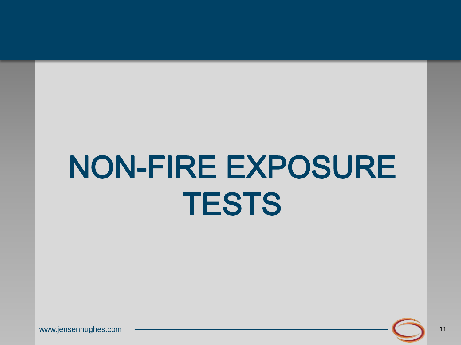# NON-FIRE EXPOSURE **TESTS**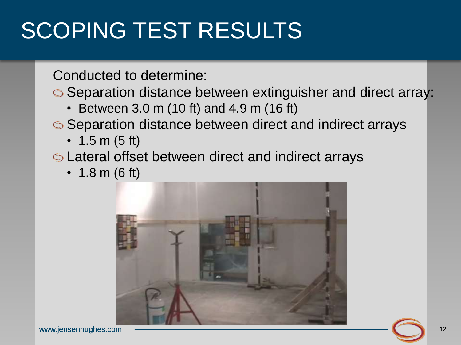### SCOPING TEST RESULTS

Conducted to determine:

Separation distance between extinguisher and direct array:

- Between 3.0 m (10 ft) and 4.9 m (16 ft)
- Separation distance between direct and indirect arrays
	- 1.5 m (5 ft)

Lateral offset between direct and indirect arrays

• 1.8 m (6 ft)

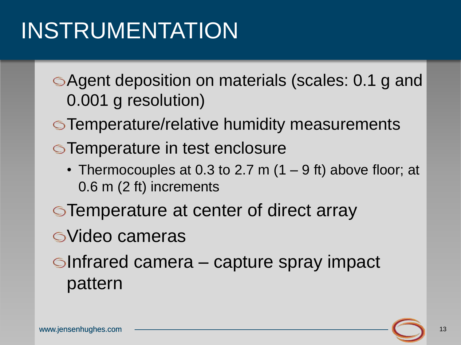### INSTRUMENTATION

- Agent deposition on materials (scales: 0.1 g and 0.001 g resolution)
- **S**Temperature/relative humidity measurements
- **STemperature in test enclosure** 
	- Thermocouples at 0.3 to 2.7 m (1 9 ft) above floor; at 0.6 m (2 ft) increments
- **Temperature at center of direct array**
- Video cameras
- $\blacksquare$ Infrared camera capture spray impact pattern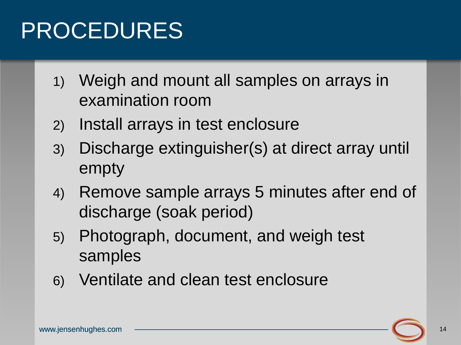### PROCEDURES

- 1) Weigh and mount all samples on arrays in examination room
- 2) Install arrays in test enclosure
- 3) Discharge extinguisher(s) at direct array until empty
- 4) Remove sample arrays 5 minutes after end of discharge (soak period)
- 5) Photograph, document, and weigh test samples
- 6) Ventilate and clean test enclosure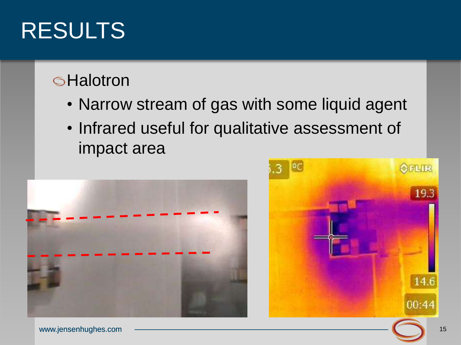#### **SHalotron**

- Narrow stream of gas with some liquid agent
- Infrared useful for qualitative assessment of impact area



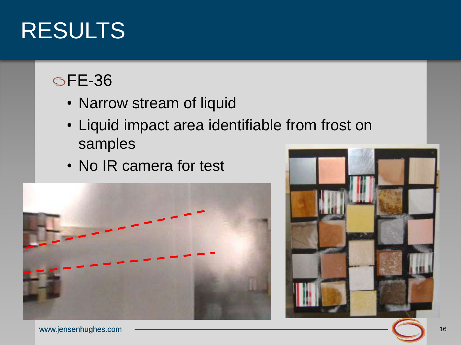### FE-36

- Narrow stream of liquid
- Liquid impact area identifiable from frost on samples
- No IR camera for test



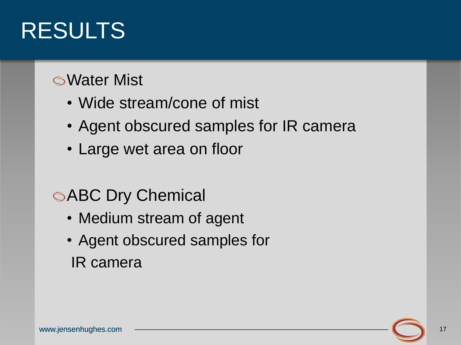#### Water Mist

- Wide stream/cone of mist
- Agent obscured samples for IR camera
- Large wet area on floor

### **SABC Dry Chemical**

- Medium stream of agent
- Agent obscured samples for IR camera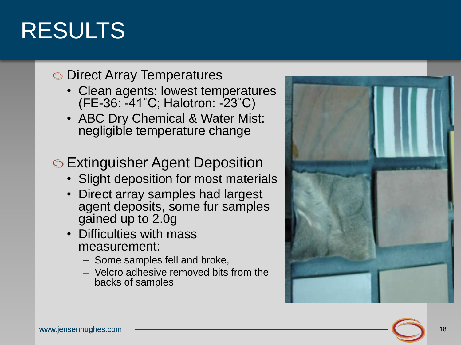#### **S** Direct Array Temperatures

- Clean agents: lowest temperatures (FE -36: -41˚C; Halotron: -23˚C)
- ABC Dry Chemical & Water Mist: negligible temperature change

Extinguisher Agent Deposition

- Slight deposition for most materials
- Direct array samples had largest agent deposits, some fur samples gained up to 2.0g
- Difficulties with mass measurement:
	- Some samples fell and broke,
	- Velcro adhesive removed bits from the backs of samples

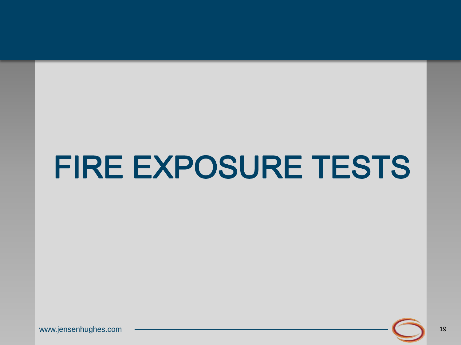# FIRE EXPOSURE TESTS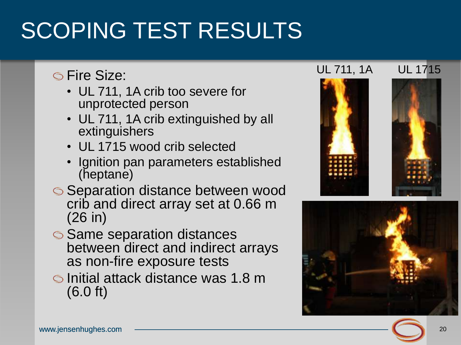### SCOPING TEST RESULTS

#### **Size:**

- UL 711, 1A crib too severe for unprotected person
- UL 711, 1A crib extinguished by all extinguishers
- UL 1715 wood crib selected
- Ignition pan parameters established (heptane)
- Separation distance between wood crib and direct array set at 0.66 m (26 in)
- **Same separation distances** between direct and indirect arrays as non-fire exposure tests
- **Initial attack distance was 1.8 m** (6.0 ft)

#### UL 711, 1A UL 1715





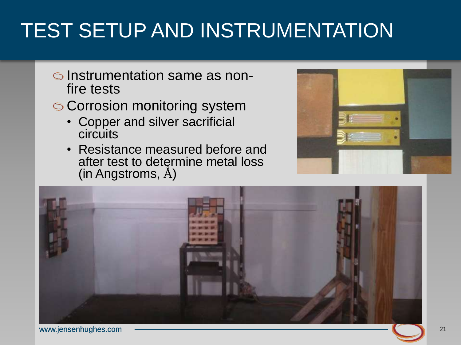### TEST SETUP AND INSTRUMENTATION

- Instrumentation same as nonfire tests
- **Corrosion monitoring system** 
	- Copper and silver sacrificial **circuits**
	- Resistance measured before and after test to determine metal loss (in Angstroms, Å)



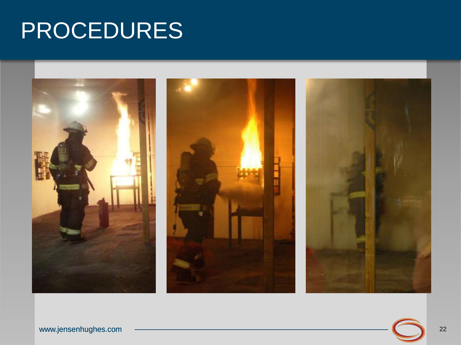### PROCEDURES

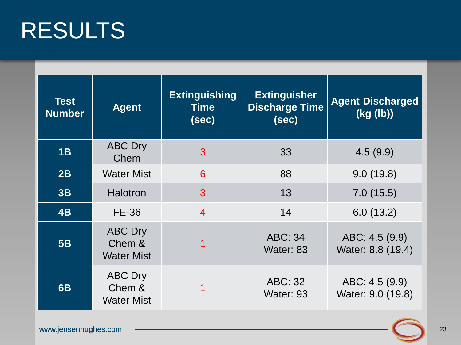| <b>Test</b><br><b>Number</b> | <b>Agent</b>                                  | <b>Extinguishing</b><br><b>Time</b><br>(sec) | <b>Extinguisher</b><br><b>Discharge Time</b><br>(sec) | <b>Agent Discharged</b><br>(kg (lb)) |
|------------------------------|-----------------------------------------------|----------------------------------------------|-------------------------------------------------------|--------------------------------------|
| 1B                           | <b>ABC Dry</b><br>Chem                        | 3                                            | 33                                                    | 4.5(9.9)                             |
| 2B                           | <b>Water Mist</b>                             | 6                                            | 88                                                    | 9.0(19.8)                            |
| 3B                           | <b>Halotron</b>                               | 3                                            | 13                                                    | 7.0(15.5)                            |
| 4B                           | <b>FE-36</b>                                  | $\overline{4}$                               | 14                                                    | 6.0(13.2)                            |
| 5B                           | <b>ABC Dry</b><br>Chem &<br><b>Water Mist</b> |                                              | <b>ABC: 34</b><br>Water: 83                           | ABC: 4.5 (9.9)<br>Water: 8.8 (19.4)  |
| 6B                           | <b>ABC Dry</b><br>Chem &<br><b>Water Mist</b> |                                              | ABC: 32<br>Water: 93                                  | ABC: 4.5 (9.9)<br>Water: 9.0 (19.8)  |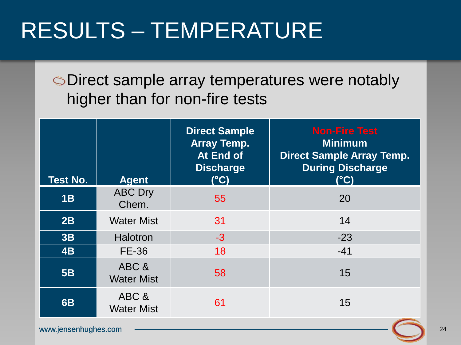### RESULTS – TEMPERATURE

Direct sample array temperatures were notably higher than for non-fire tests

| <b>Test No.</b> | <b>Agent</b>               | <b>Direct Sample</b><br><b>Array Temp.</b><br>At End of<br><b>Discharge</b><br>$(^{\circ}C)$ | <b>Non-Fire Test</b><br><b>Minimum</b><br><b>Direct Sample Array Temp.</b><br><b>During Discharge</b><br>$(^{\circ}C)$ |
|-----------------|----------------------------|----------------------------------------------------------------------------------------------|------------------------------------------------------------------------------------------------------------------------|
| 1B              | <b>ABC Dry</b><br>Chem.    | 55                                                                                           | 20                                                                                                                     |
| 2B              | <b>Water Mist</b>          | 31                                                                                           | 14                                                                                                                     |
| 3B              | <b>Halotron</b>            | $-3$                                                                                         | $-23$                                                                                                                  |
| 4B              | <b>FE-36</b>               | 18                                                                                           | $-41$                                                                                                                  |
| <b>5B</b>       | ABC &<br><b>Water Mist</b> | 58                                                                                           | 15                                                                                                                     |
| <b>6B</b>       | ABC &<br><b>Water Mist</b> | 61                                                                                           | 15                                                                                                                     |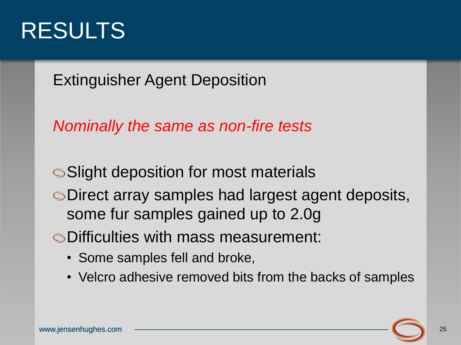

Extinguisher Agent Deposition

*Nominally the same as non-fire tests*

**Slight deposition for most materials** 

Direct array samples had largest agent deposits, some fur samples gained up to 2.0g

Difficulties with mass measurement:

- Some samples fell and broke,
- Velcro adhesive removed bits from the backs of samples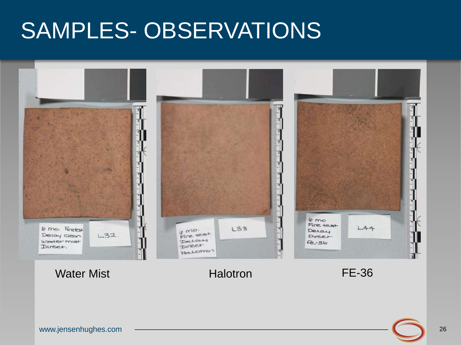### SAMPLES- OBSERVATIONS



Water Mist **Mist Halotron Halotron FE-36**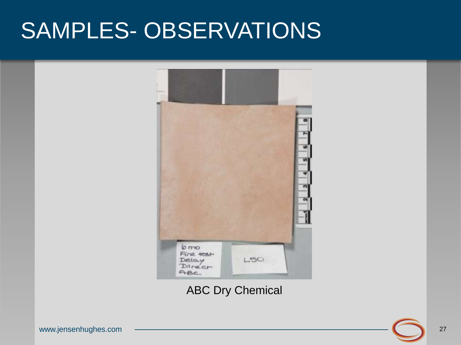### SAMPLES- OBSERVATIONS



ABC Dry Chemical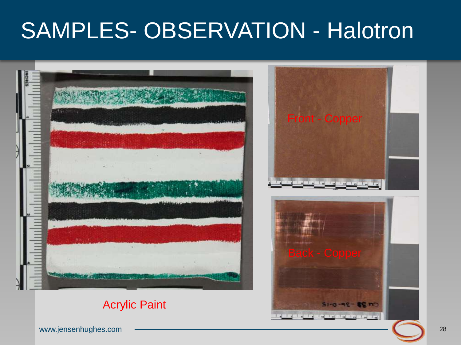### SAMPLES- OBSERVATION - Halotron



#### Acrylic Paint

www.jensenhughes.com

51-0-4 the ball of the company of the state of the state of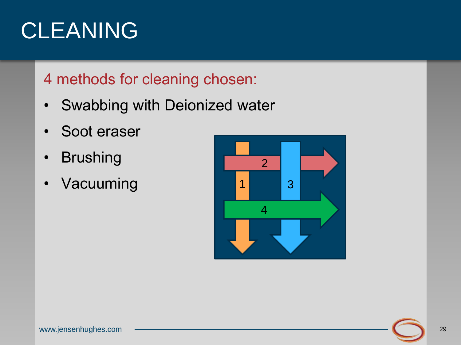### CLEANING

#### 4 methods for cleaning chosen:

- Swabbing with Deionized water
- Soot eraser
- Brushing
- Vacuuming

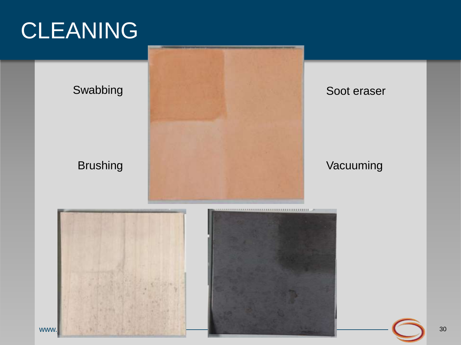### CLEANING



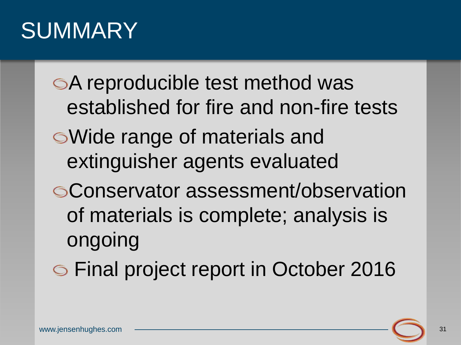### **SUMMARY**

A reproducible test method was established for fire and non-fire tests Wide range of materials and extinguisher agents evaluated Conservator assessment/observation of materials is complete; analysis is ongoing

Final project report in October 2016

31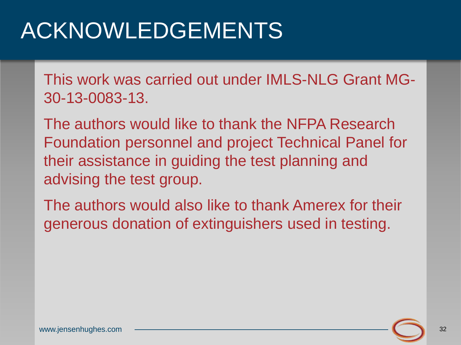### ACKNOWLEDGEMENTS

This work was carried out under IMLS-NLG Grant MG-30-13-0083-13.

The authors would like to thank the NFPA Research Foundation personnel and project Technical Panel for their assistance in guiding the test planning and advising the test group.

The authors would also like to thank Amerex for their generous donation of extinguishers used in testing.